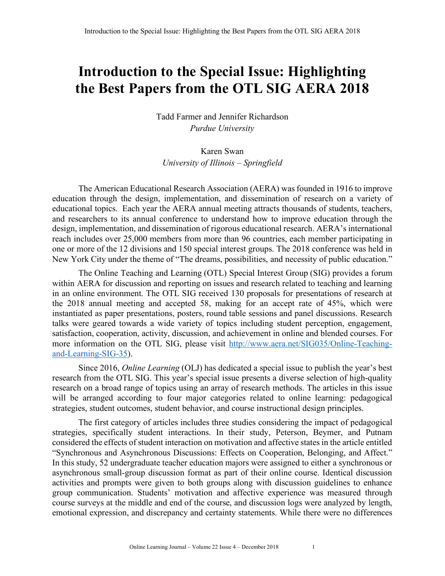## **Introduction to the Special Issue: Highlighting the Best Papers from the OTL SIG AERA 2018**

Tadd Farmer and Jennifer Richardson *Purdue University*

Karen Swan *University of Illinois – Springfield*

The American Educational Research Association (AERA) was founded in 1916 to improve education through the design, implementation, and dissemination of research on a variety of educational topics. Each year the AERA annual meeting attracts thousands of students, teachers, and researchers to its annual conference to understand how to improve education through the design, implementation, and dissemination of rigorous educational research. AERA's international reach includes over 25,000 members from more than 96 countries, each member participating in one or more of the 12 divisions and 150 special interest groups. The 2018 conference was held in New York City under the theme of "The dreams, possibilities, and necessity of public education."

The Online Teaching and Learning (OTL) Special Interest Group (SIG) provides a forum within AERA for discussion and reporting on issues and research related to teaching and learning in an online environment. The OTL SIG received 130 proposals for presentations of research at the 2018 annual meeting and accepted 58, making for an accept rate of 45%, which were instantiated as paper presentations, posters, round table sessions and panel discussions. Research talks were geared towards a wide variety of topics including student perception, engagement, satisfaction, cooperation, activity, discussion, and achievement in online and blended courses. For more information on the OTL SIG, please visit http://www.aera.net/SIG035/Online-Teachingand-Learning-SIG-35).

Since 2016, *Online Learning* (OLJ) has dedicated a special issue to publish the year's best research from the OTL SIG. This year's special issue presents a diverse selection of high-quality research on a broad range of topics using an array of research methods. The articles in this issue will be arranged according to four major categories related to online learning: pedagogical strategies, student outcomes, student behavior, and course instructional design principles.

The first category of articles includes three studies considering the impact of pedagogical strategies, specifically student interactions. In their study, Peterson, Beymer, and Putnam considered the effects of student interaction on motivation and affective states in the article entitled "Synchronous and Asynchronous Discussions: Effects on Cooperation, Belonging, and Affect." In this study, 52 undergraduate teacher education majors were assigned to either a synchronous or asynchronous small-group discussion format as part of their online course. Identical discussion activities and prompts were given to both groups along with discussion guidelines to enhance group communication. Students' motivation and affective experience was measured through course surveys at the middle and end of the course, and discussion logs were analyzed by length, emotional expression, and discrepancy and certainty statements. While there were no differences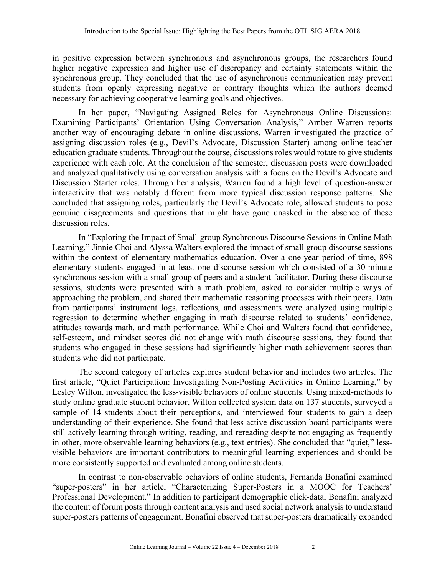in positive expression between synchronous and asynchronous groups, the researchers found higher negative expression and higher use of discrepancy and certainty statements within the synchronous group. They concluded that the use of asynchronous communication may prevent students from openly expressing negative or contrary thoughts which the authors deemed necessary for achieving cooperative learning goals and objectives.

In her paper, "Navigating Assigned Roles for Asynchronous Online Discussions: Examining Participants' Orientation Using Conversation Analysis," Amber Warren reports another way of encouraging debate in online discussions. Warren investigated the practice of assigning discussion roles (e.g., Devil's Advocate, Discussion Starter) among online teacher education graduate students. Throughout the course, discussions roles would rotate to give students experience with each role. At the conclusion of the semester, discussion posts were downloaded and analyzed qualitatively using conversation analysis with a focus on the Devil's Advocate and Discussion Starter roles. Through her analysis, Warren found a high level of question-answer interactivity that was notably different from more typical discussion response patterns. She concluded that assigning roles, particularly the Devil's Advocate role, allowed students to pose genuine disagreements and questions that might have gone unasked in the absence of these discussion roles.

In "Exploring the Impact of Small-group Synchronous Discourse Sessions in Online Math Learning," Jinnie Choi and Alyssa Walters explored the impact of small group discourse sessions within the context of elementary mathematics education. Over a one-year period of time, 898 elementary students engaged in at least one discourse session which consisted of a 30-minute synchronous session with a small group of peers and a student-facilitator. During these discourse sessions, students were presented with a math problem, asked to consider multiple ways of approaching the problem, and shared their mathematic reasoning processes with their peers. Data from participants' instrument logs, reflections, and assessments were analyzed using multiple regression to determine whether engaging in math discourse related to students' confidence, attitudes towards math, and math performance. While Choi and Walters found that confidence, self-esteem, and mindset scores did not change with math discourse sessions, they found that students who engaged in these sessions had significantly higher math achievement scores than students who did not participate.

The second category of articles explores student behavior and includes two articles. The first article, "Quiet Participation: Investigating Non-Posting Activities in Online Learning," by Lesley Wilton, investigated the less-visible behaviors of online students. Using mixed-methods to study online graduate student behavior, Wilton collected system data on 137 students, surveyed a sample of 14 students about their perceptions, and interviewed four students to gain a deep understanding of their experience. She found that less active discussion board participants were still actively learning through writing, reading, and rereading despite not engaging as frequently in other, more observable learning behaviors (e.g., text entries). She concluded that "quiet," lessvisible behaviors are important contributors to meaningful learning experiences and should be more consistently supported and evaluated among online students.

In contrast to non-observable behaviors of online students, Fernanda Bonafini examined "super-posters" in her article, "Characterizing Super-Posters in a MOOC for Teachers' Professional Development." In addition to participant demographic click-data, Bonafini analyzed the content of forum posts through content analysis and used social network analysis to understand super-posters patterns of engagement. Bonafini observed that super-posters dramatically expanded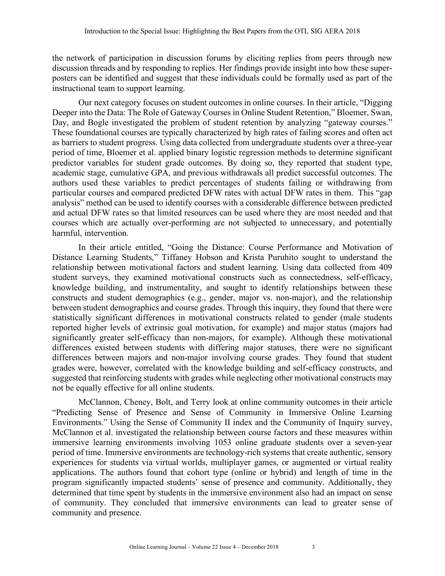the network of participation in discussion forums by eliciting replies from peers through new discussion threads and by responding to replies. Her findings provide insight into how these superposters can be identified and suggest that these individuals could be formally used as part of the instructional team to support learning.

Our next category focuses on student outcomes in online courses. In their article, "Digging Deeper into the Data: The Role of Gateway Courses in Online Student Retention," Bloemer, Swan, Day, and Bogle investigated the problem of student retention by analyzing "gateway courses." These foundational courses are typically characterized by high rates of failing scores and often act as barriers to student progress. Using data collected from undergraduate students over a three-year period of time, Bloemer et al. applied binary logistic regression methods to determine significant predictor variables for student grade outcomes. By doing so, they reported that student type, academic stage, cumulative GPA, and previous withdrawals all predict successful outcomes. The authors used these variables to predict percentages of students failing or withdrawing from particular courses and compared predicted DFW rates with actual DFW rates in them. This "gap analysis" method can be used to identify courses with a considerable difference between predicted and actual DFW rates so that limited resources can be used where they are most needed and that courses which are actually over-performing are not subjected to unnecessary, and potentially harmful, intervention.

In their article entitled, "Going the Distance: Course Performance and Motivation of Distance Learning Students," Tiffaney Hobson and Krista Puruhito sought to understand the relationship between motivational factors and student learning. Using data collected from 409 student surveys, they examined motivational constructs such as connectedness, self-efficacy, knowledge building, and instrumentality, and sought to identify relationships between these constructs and student demographics (e.g., gender, major vs. non-major), and the relationship between student demographics and course grades. Through this inquiry, they found that there were statistically significant differences in motivational constructs related to gender (male students reported higher levels of extrinsic goal motivation, for example) and major status (majors had significantly greater self-efficacy than non-majors, for example). Although these motivational differences existed between students with differing major statuses, there were no significant differences between majors and non-major involving course grades. They found that student grades were, however, correlated with the knowledge building and self-efficacy constructs, and suggested that reinforcing students with grades while neglecting other motivational constructs may not be equally effective for all online students.

McClannon, Cheney, Bolt, and Terry look at online community outcomes in their article "Predicting Sense of Presence and Sense of Community in Immersive Online Learning Environments." Using the Sense of Community II index and the Community of Inquiry survey, McClannon et al. investigated the relationship between course factors and these measures within immersive learning environments involving 1053 online graduate students over a seven-year period of time. Immersive environments are technology-rich systems that create authentic, sensory experiences for students via virtual worlds, multiplayer games, or augmented or virtual reality applications. The authors found that cohort type (online or hybrid) and length of time in the program significantly impacted students' sense of presence and community. Additionally, they determined that time spent by students in the immersive environment also had an impact on sense of community. They concluded that immersive environments can lead to greater sense of community and presence.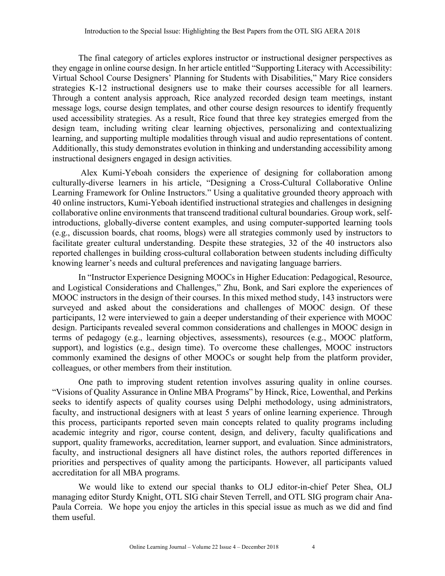The final category of articles explores instructor or instructional designer perspectives as they engage in online course design. In her article entitled "Supporting Literacy with Accessibility: Virtual School Course Designers' Planning for Students with Disabilities," Mary Rice considers strategies K-12 instructional designers use to make their courses accessible for all learners. Through a content analysis approach, Rice analyzed recorded design team meetings, instant message logs, course design templates, and other course design resources to identify frequently used accessibility strategies. As a result, Rice found that three key strategies emerged from the design team, including writing clear learning objectives, personalizing and contextualizing learning, and supporting multiple modalities through visual and audio representations of content. Additionally, this study demonstrates evolution in thinking and understanding accessibility among instructional designers engaged in design activities.

Alex Kumi-Yeboah considers the experience of designing for collaboration among culturally-diverse learners in his article, "Designing a Cross-Cultural Collaborative Online Learning Framework for Online Instructors." Using a qualitative grounded theory approach with 40 online instructors, Kumi-Yeboah identified instructional strategies and challenges in designing collaborative online environments that transcend traditional cultural boundaries. Group work, selfintroductions, globally-diverse content examples, and using computer-supported learning tools (e.g., discussion boards, chat rooms, blogs) were all strategies commonly used by instructors to facilitate greater cultural understanding. Despite these strategies, 32 of the 40 instructors also reported challenges in building cross-cultural collaboration between students including difficulty knowing learner's needs and cultural preferences and navigating language barriers.

In "Instructor Experience Designing MOOCs in Higher Education: Pedagogical, Resource, and Logistical Considerations and Challenges," Zhu, Bonk, and Sari explore the experiences of MOOC instructors in the design of their courses. In this mixed method study, 143 instructors were surveyed and asked about the considerations and challenges of MOOC design. Of these participants, 12 were interviewed to gain a deeper understanding of their experience with MOOC design. Participants revealed several common considerations and challenges in MOOC design in terms of pedagogy (e.g., learning objectives, assessments), resources (e.g., MOOC platform, support), and logistics (e.g., design time). To overcome these challenges, MOOC instructors commonly examined the designs of other MOOCs or sought help from the platform provider, colleagues, or other members from their institution.

One path to improving student retention involves assuring quality in online courses. "Visions of Quality Assurance in Online MBA Programs" by Hinck, Rice, Lowenthal, and Perkins seeks to identify aspects of quality courses using Delphi methodology, using administrators, faculty, and instructional designers with at least 5 years of online learning experience. Through this process, participants reported seven main concepts related to quality programs including academic integrity and rigor, course content, design, and delivery, faculty qualifications and support, quality frameworks, accreditation, learner support, and evaluation. Since administrators, faculty, and instructional designers all have distinct roles, the authors reported differences in priorities and perspectives of quality among the participants. However, all participants valued accreditation for all MBA programs.

We would like to extend our special thanks to OLJ editor-in-chief Peter Shea, OLJ managing editor Sturdy Knight, OTL SIG chair Steven Terrell, and OTL SIG program chair Ana-Paula Correia. We hope you enjoy the articles in this special issue as much as we did and find them useful.